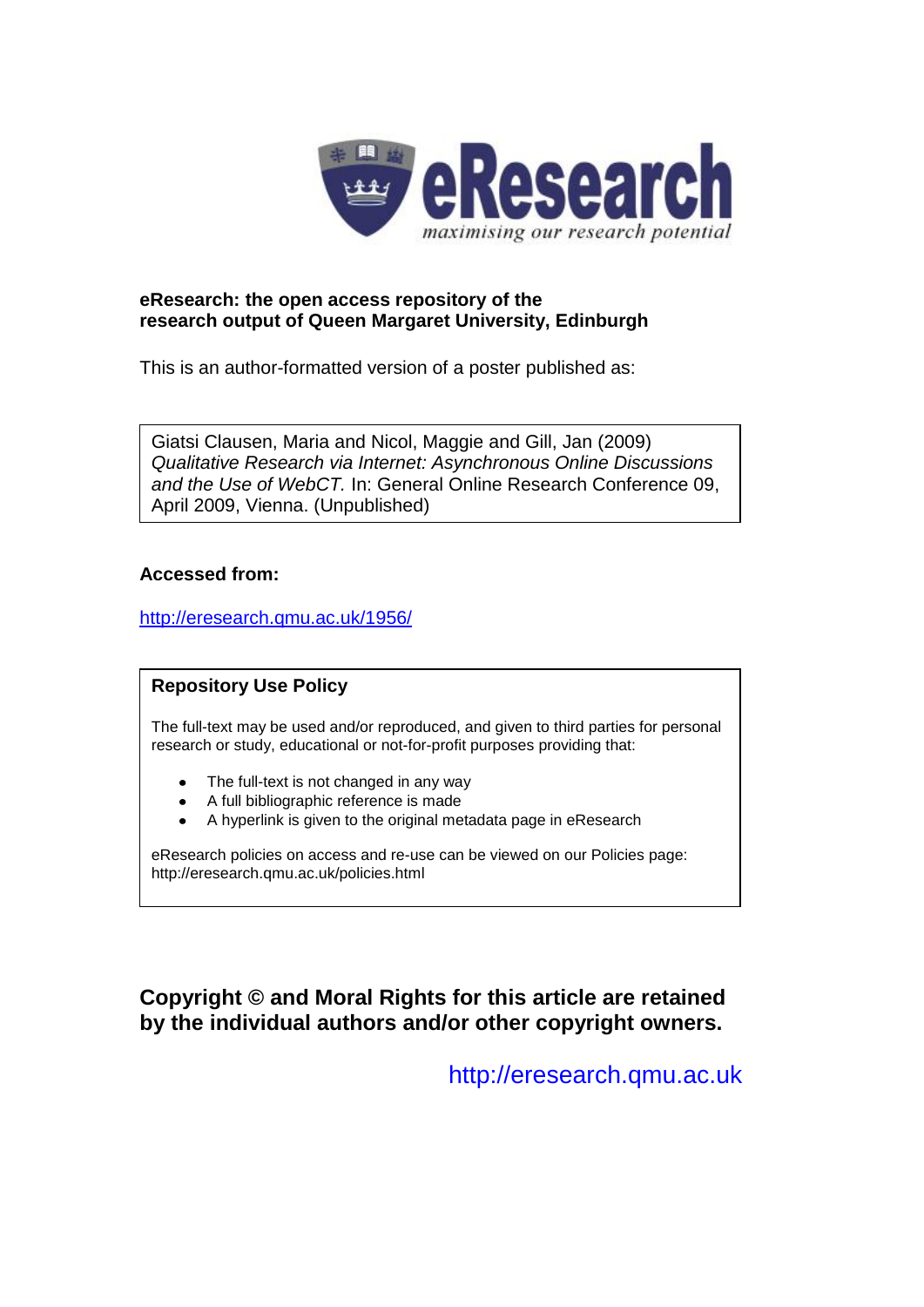

#### **eResearch: the open access repository of the research output of Queen Margaret University, Edinburgh**

This is an author-formatted version of a poster published as:

Giatsi Clausen, Maria and Nicol, Maggie and Gill, Jan (2009) *Qualitative Research via Internet: Asynchronous Online Discussions and the Use of WebCT.* In: General Online Research Conference 09, April 2009, Vienna. (Unpublished)

#### **Accessed from:**

<http://eresearch.qmu.ac.uk/1956/>

#### **Repository Use Policy**

The full-text may be used and/or reproduced, and given to third parties for personal research or study, educational or not-for-profit purposes providing that:

- The full-text is not changed in any way
- A full bibliographic reference is made
- A hyperlink is given to the original metadata page in eResearch  $\bullet$

eResearch policies on access and re-use can be viewed on our Policies page: <http://eresearch.qmu.ac.uk/policies.html>

#### **Copyright © and Moral Rights for this article are retained by the individual authors and/or other copyright owners.**

[http://eresearch.qmu.ac.uk](http://eresearch.qmu.ac.uk/)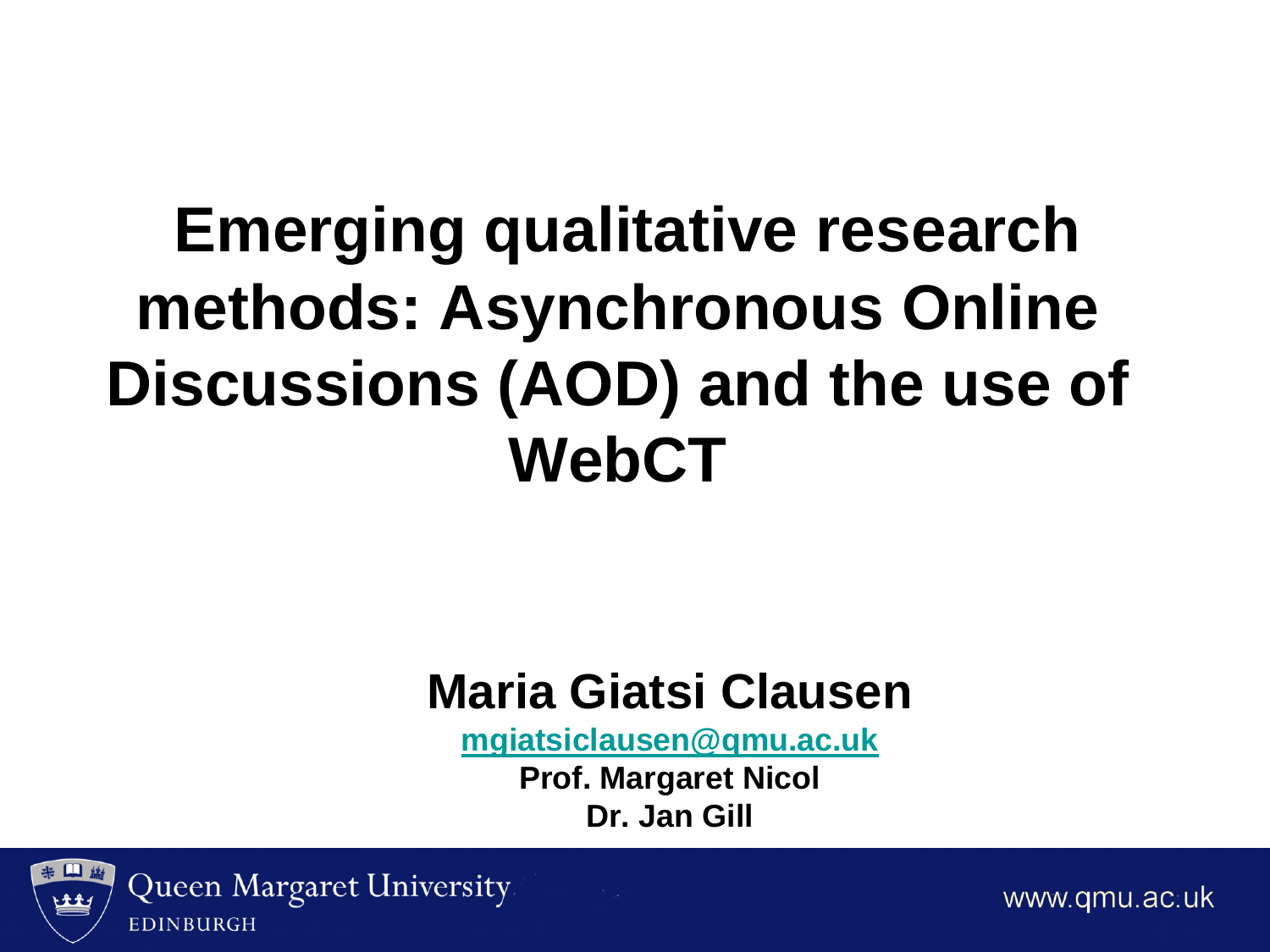### **Emerging qualitative research methods: Asynchronous Online Discussions (AOD) and the use of WebCT**

### **Maria Giatsi Clausen**

**[mgiatsiclausen@qmu.ac.uk](mailto:mgiatsiclausen@qmu.ac.uk)**

**Prof. Margaret Nicol Dr. Jan Gill**



www.gmu.ac.uk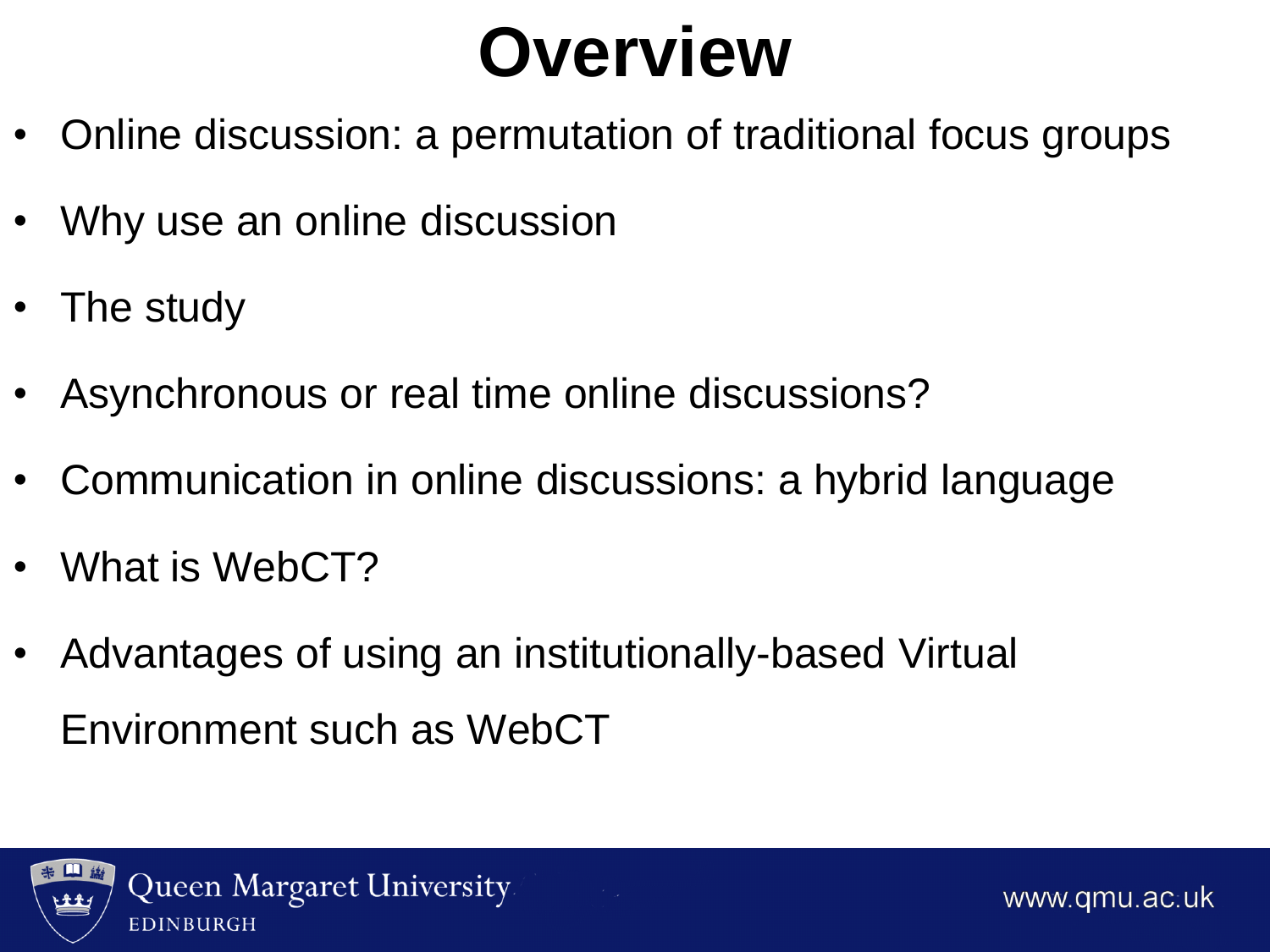# **Overview**

- Online discussion: a permutation of traditional focus groups
- Why use an online discussion
- The study
- Asynchronous or real time online discussions?
- Communication in online discussions: a hybrid language
- What is WebCT?
- Advantages of using an institutionally-based Virtual Environment such as WebCT

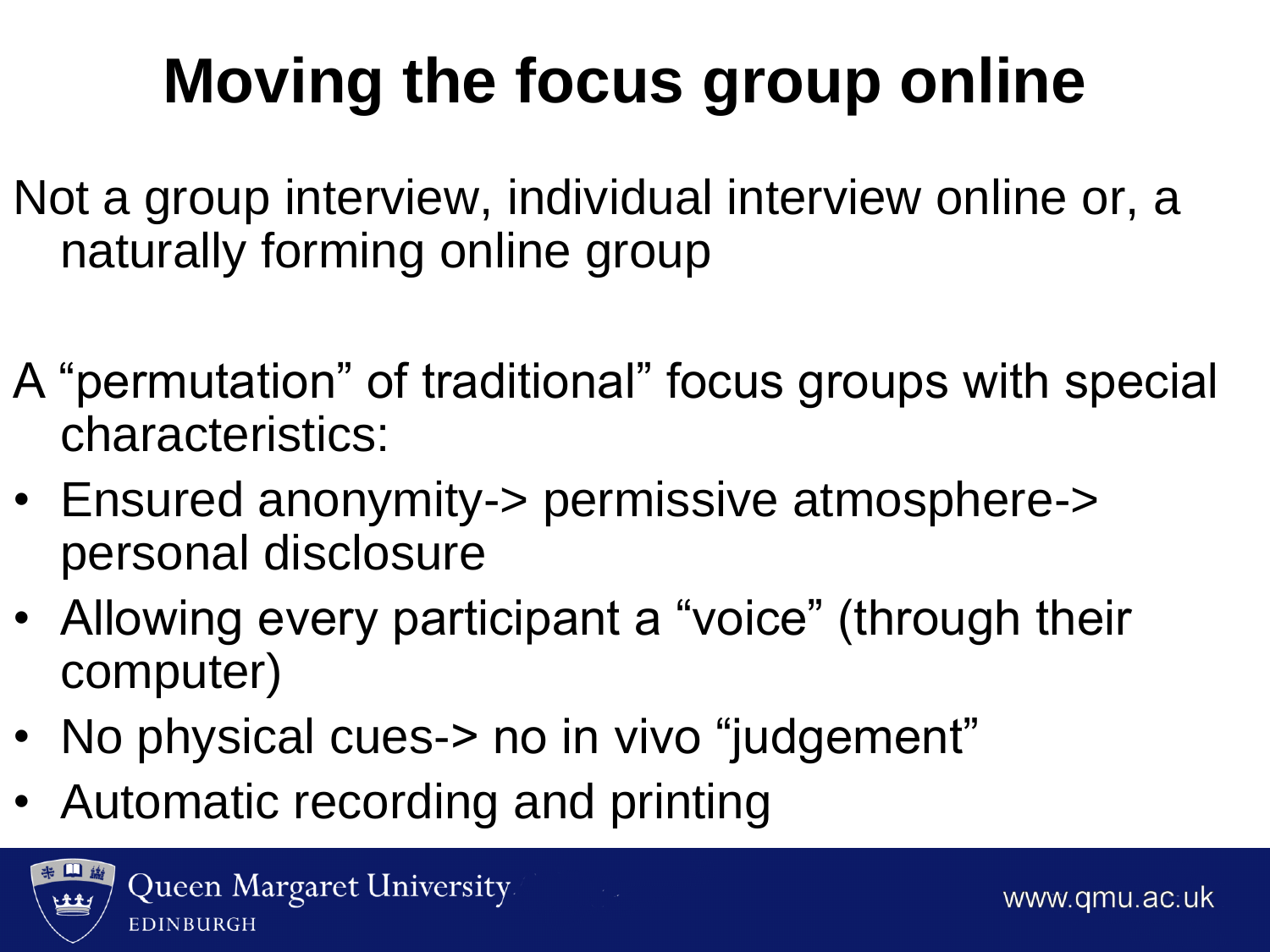# **Moving the focus group online**

- Not a group interview, individual interview online or, a naturally forming online group
- A "permutation" of traditional" focus groups with special characteristics:
- Ensured anonymity-> permissive atmosphere-> personal disclosure
- Allowing every participant a "voice" (through their computer)
- No physical cues-> no in vivo "judgement"
- Automatic recording and printing

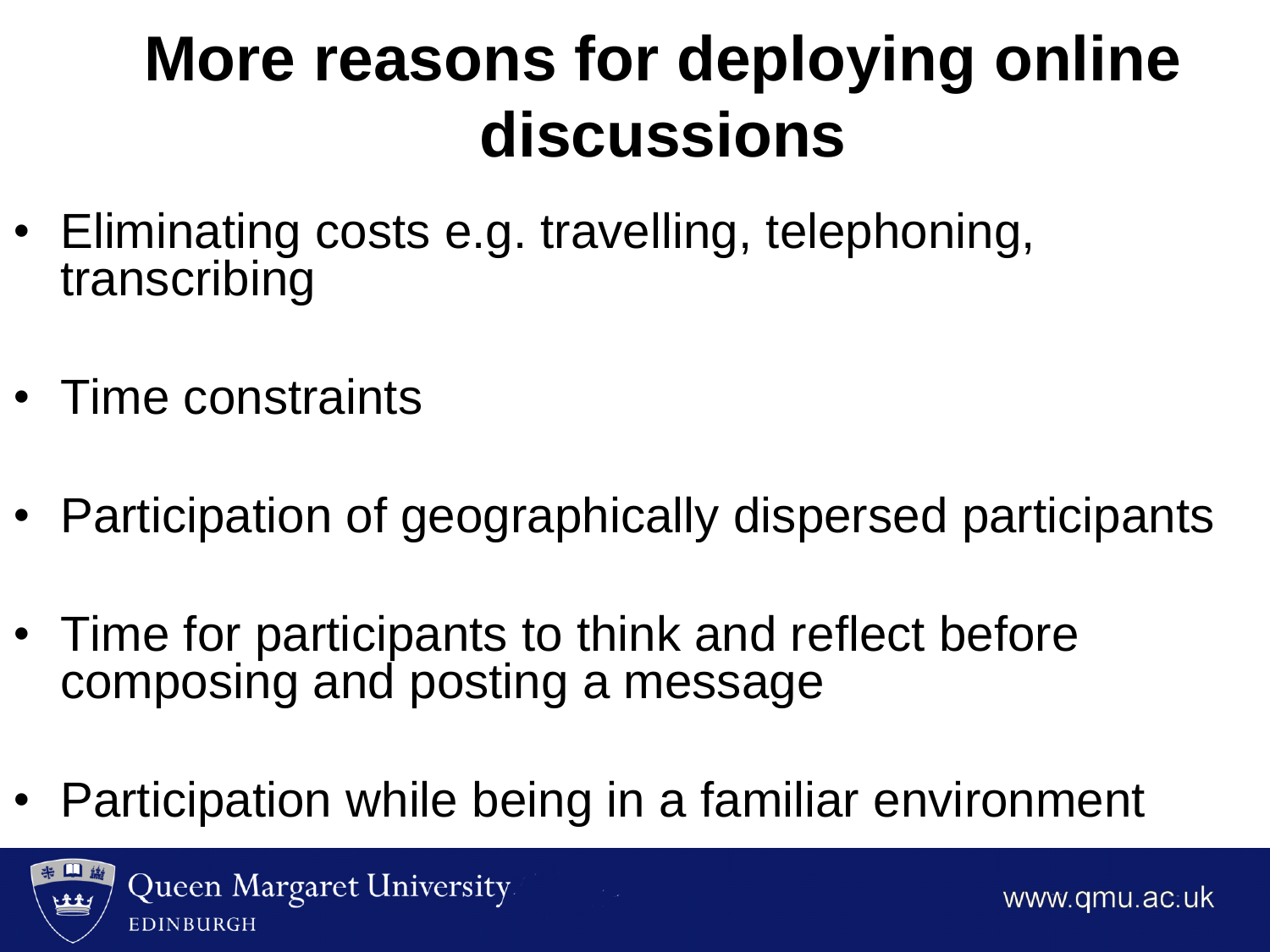## **More reasons for deploying online discussions**

- Eliminating costs e.g. travelling, telephoning, transcribing
- Time constraints
- Participation of geographically dispersed participants
- Time for participants to think and reflect before composing and posting a message
- Participation while being in a familiar environment

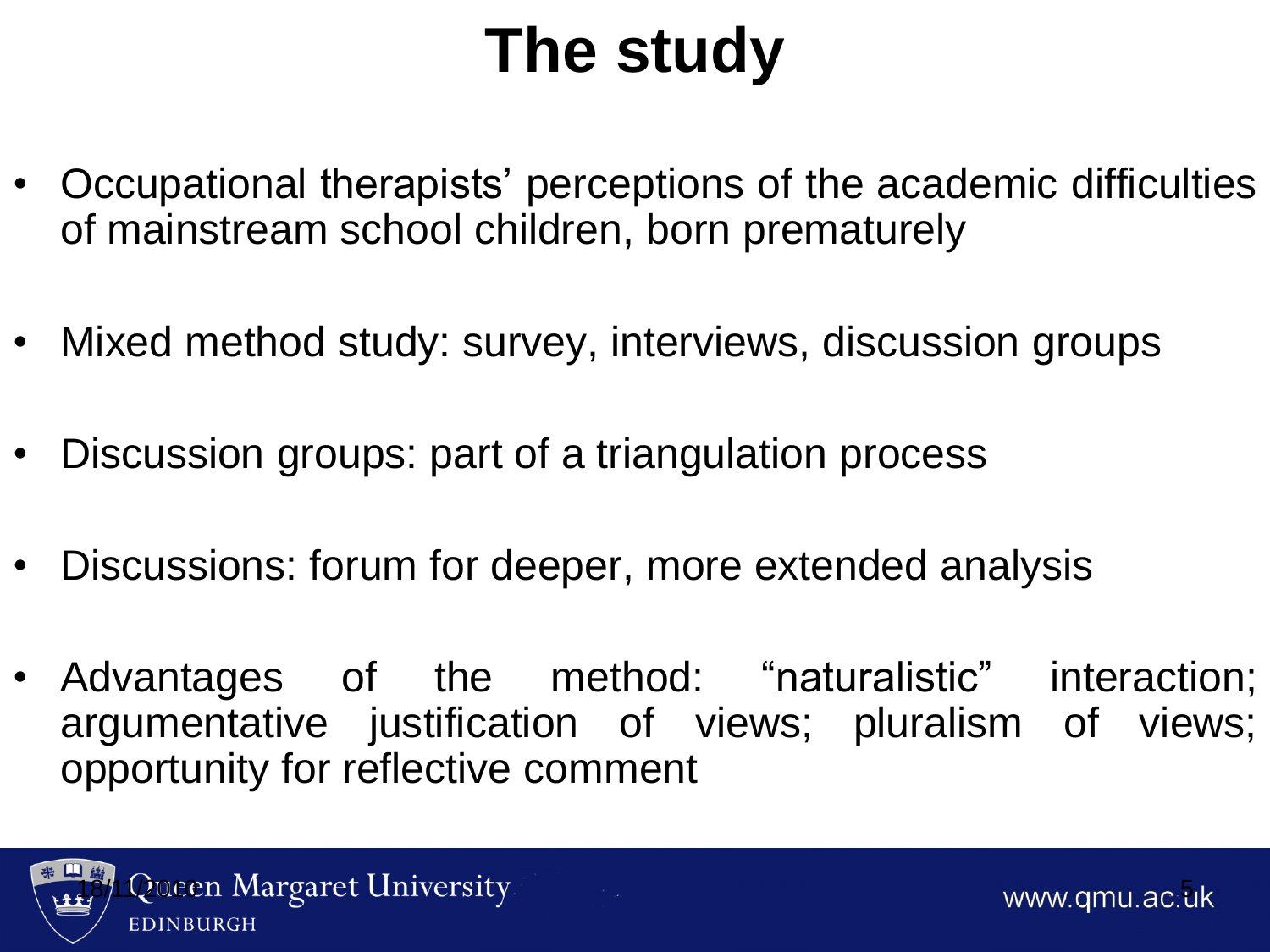# **The study**

- Occupational therapists' perceptions of the academic difficulties of mainstream school children, born prematurely
- Mixed method study: survey, interviews, discussion groups
- Discussion groups: part of a triangulation process
- Discussions: forum for deeper, more extended analysis
- Advantages of the method: "naturalistic" interaction; argumentative justification of views; pluralism of views; opportunity for reflective comment

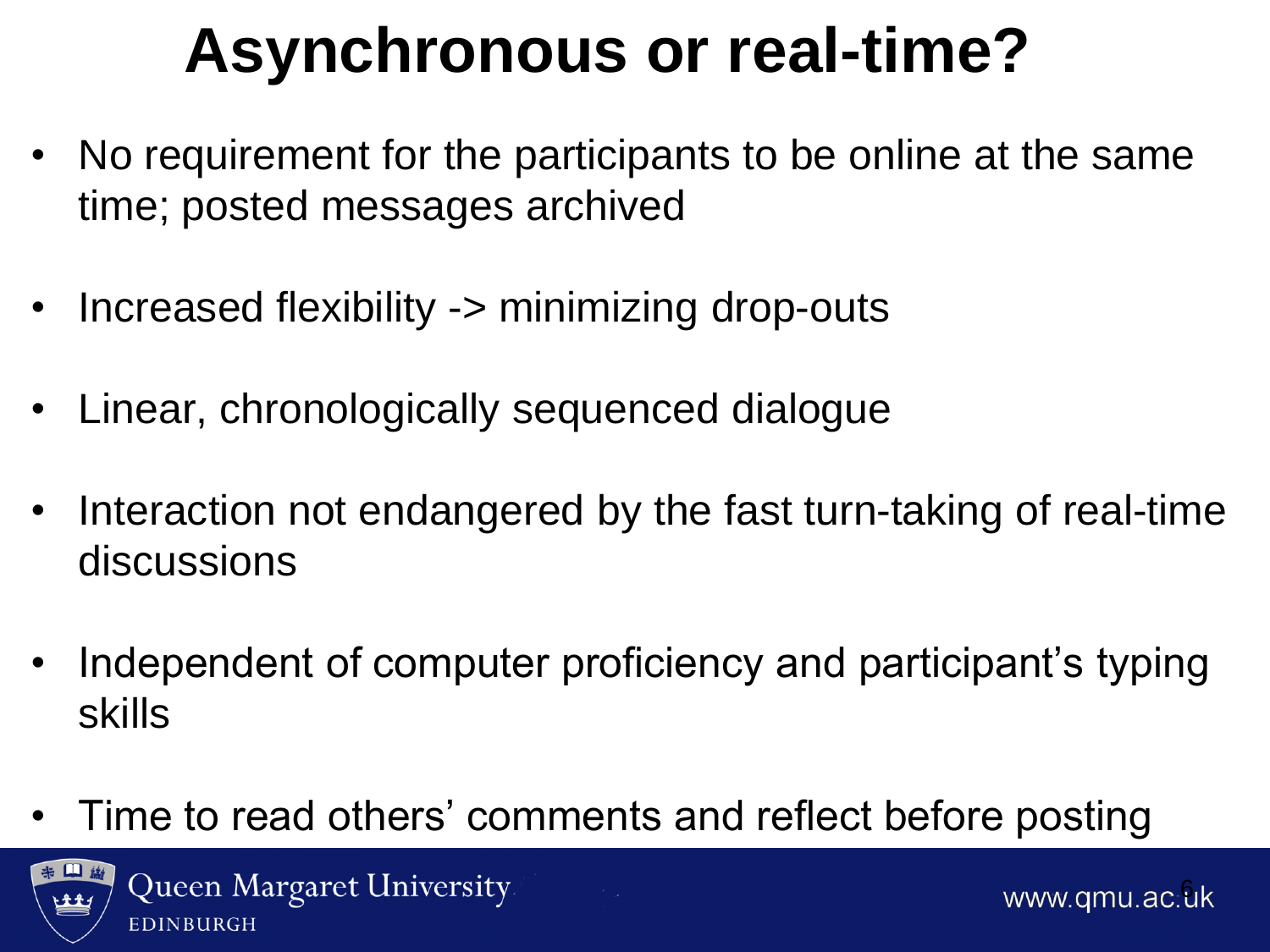## **Asynchronous or real-time?**

- No requirement for the participants to be online at the same time; posted messages archived
- Increased flexibility -> minimizing drop-outs
- Linear, chronologically sequenced dialogue
- Interaction not endangered by the fast turn-taking of real-time discussions
- Independent of computer proficiency and participant's typing skills
- Time to read others' comments and reflect before posting

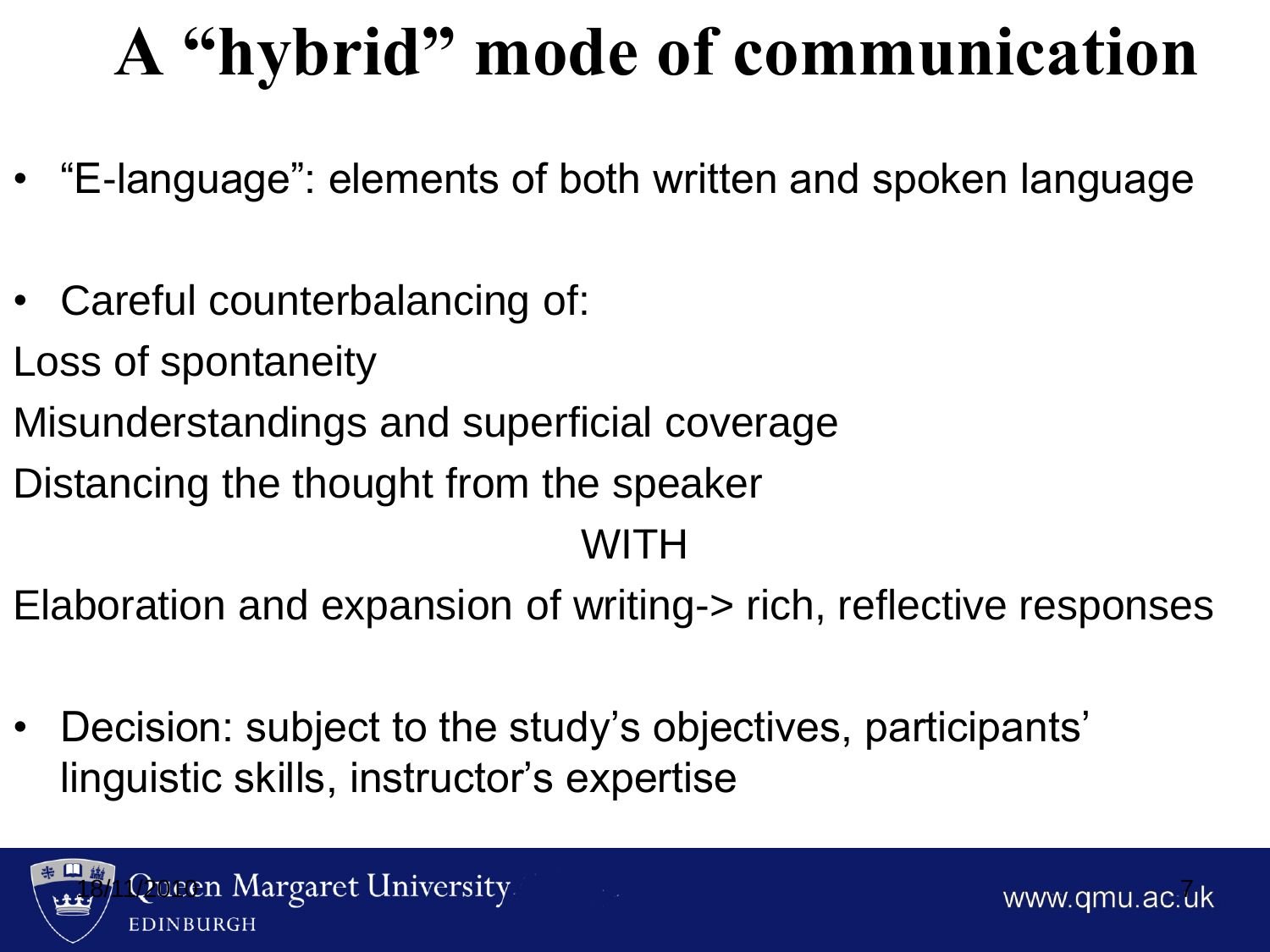# **A "hybrid" mode of communication**

- "E-language": elements of both written and spoken language
- Careful counterbalancing of:
- Loss of spontaneity
- Misunderstandings and superficial coverage
- Distancing the thought from the speaker

### WITH

- Elaboration and expansion of writing-> rich, reflective responses
- Decision: subject to the study's objectives, participants' linguistic skills, instructor's expertise



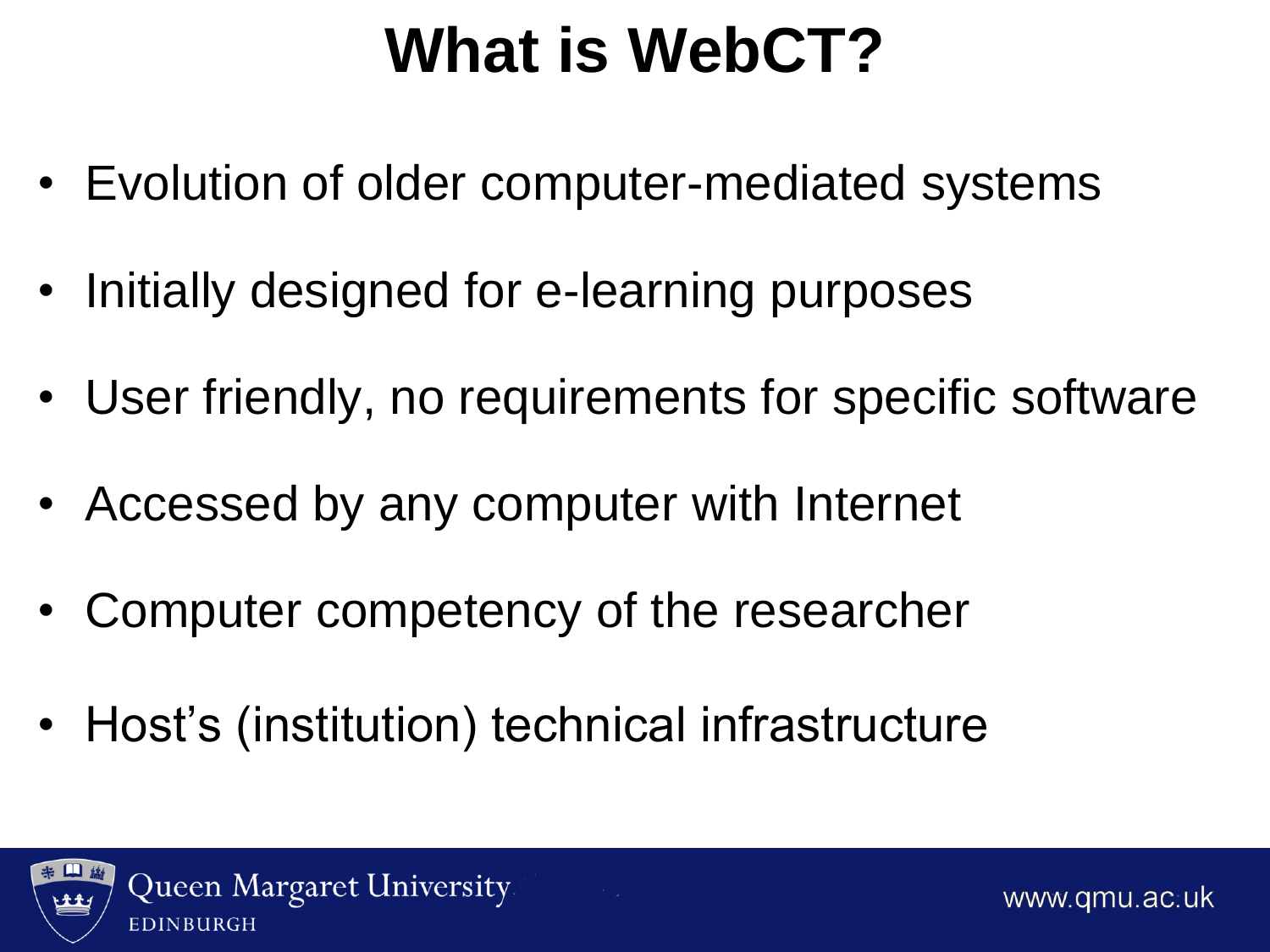### **What is WebCT?**

- Evolution of older computer-mediated systems
- Initially designed for e-learning purposes
- User friendly, no requirements for specific software
- Accessed by any computer with Internet
- Computer competency of the researcher
- Host's (institution) technical infrastructure

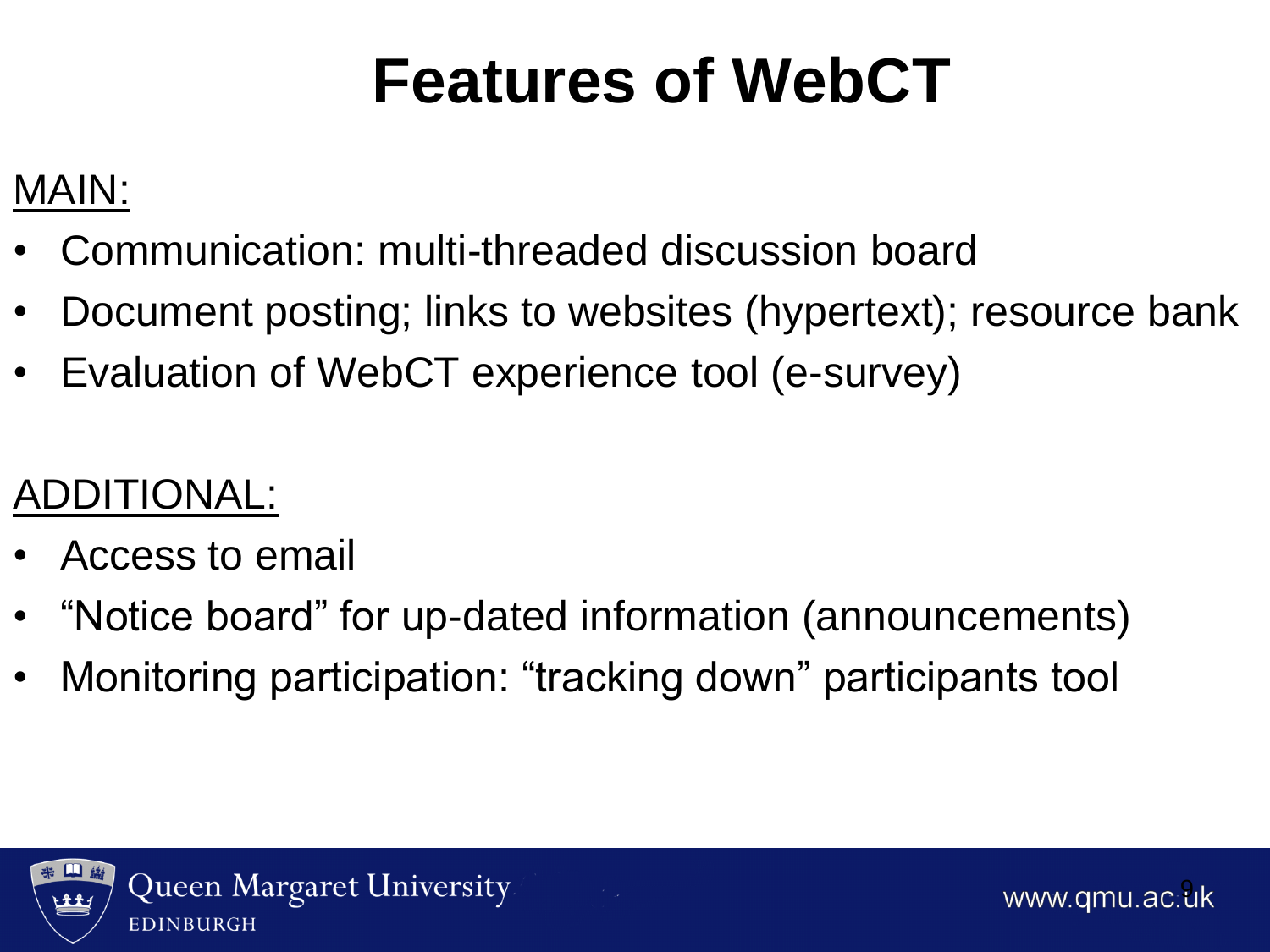# **Features of WebCT**

### MAIN:

- Communication: multi-threaded discussion board
- Document posting; links to websites (hypertext); resource bank
- Evaluation of WebCT experience tool (e-survey)

### ADDITIONAL:

- Access to email
- "Notice board" for up-dated information (announcements)
- Monitoring participation: "tracking down" participants tool



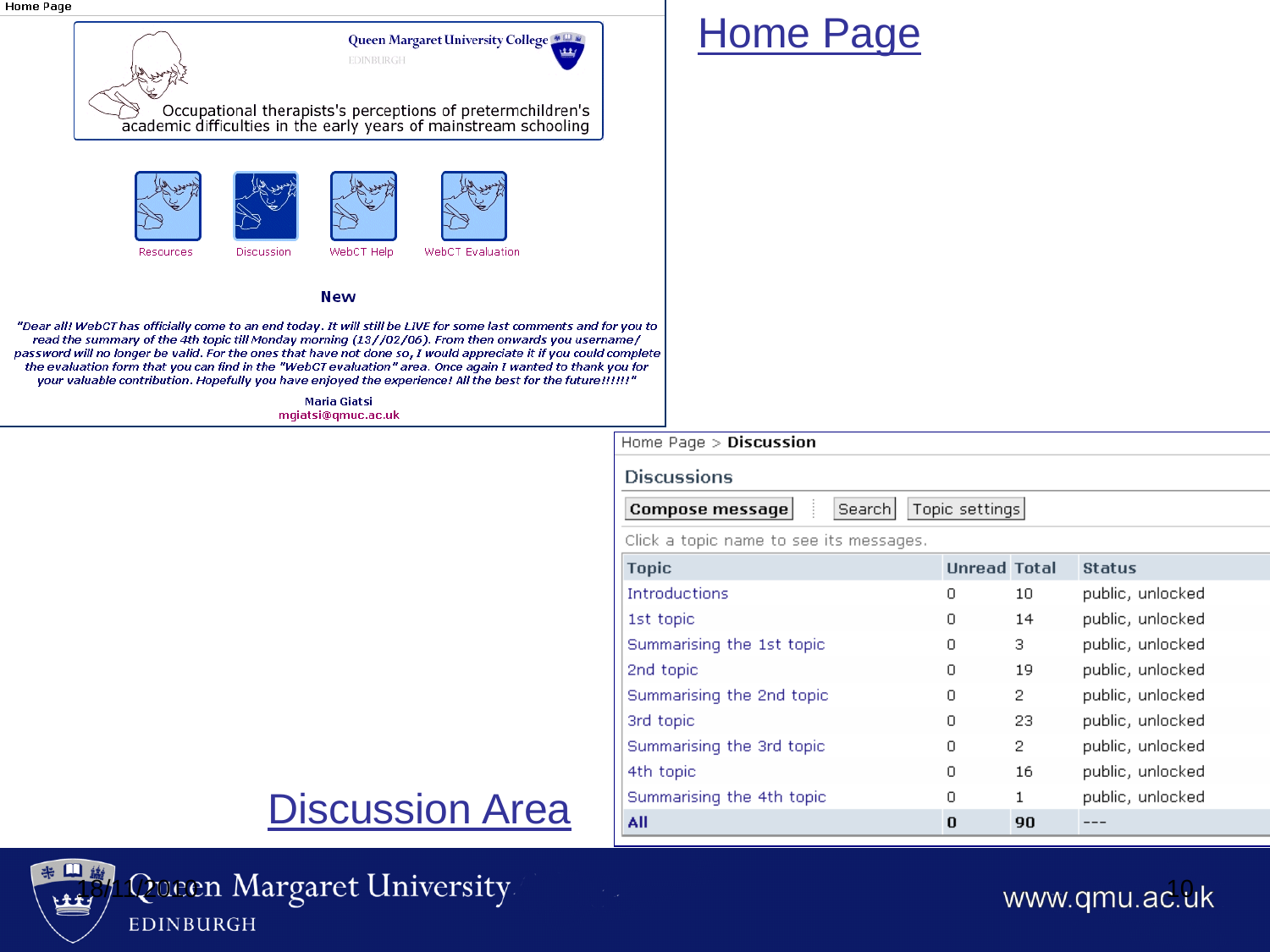

### Home Page

#### Home Page > Discussion **Discussions** Topic settings **Compose message** Search Click a topic name to see its messages. **Topic Unread Total Status Introductions**  $\circ$ 10 public, unlocked public, unlocked 1st topic  $\circ$ 14 public, unlocked 3 Summarising the 1st topic Ω. public, unlocked 2nd topic 0 19  $\overline{2}$ public, unlocked Summarising the 2nd topic  $\Box$ public, unlocked 3rd topic  $\circ$ 23 Summarising the 3rd topic  $\Omega$  $\overline{2}$ public, unlocked 4th topic 0 16 public, unlocked Summarising the 4th topic public, unlocked  $\circ$  $\mathbf{1}$ All  $\Omega$ 90  $---$

### Discussion Area



### <sup>\*</sup> H<sup>\$</sup>/1 Queen Margaret University www.qmu.ac.uk EDINBURGH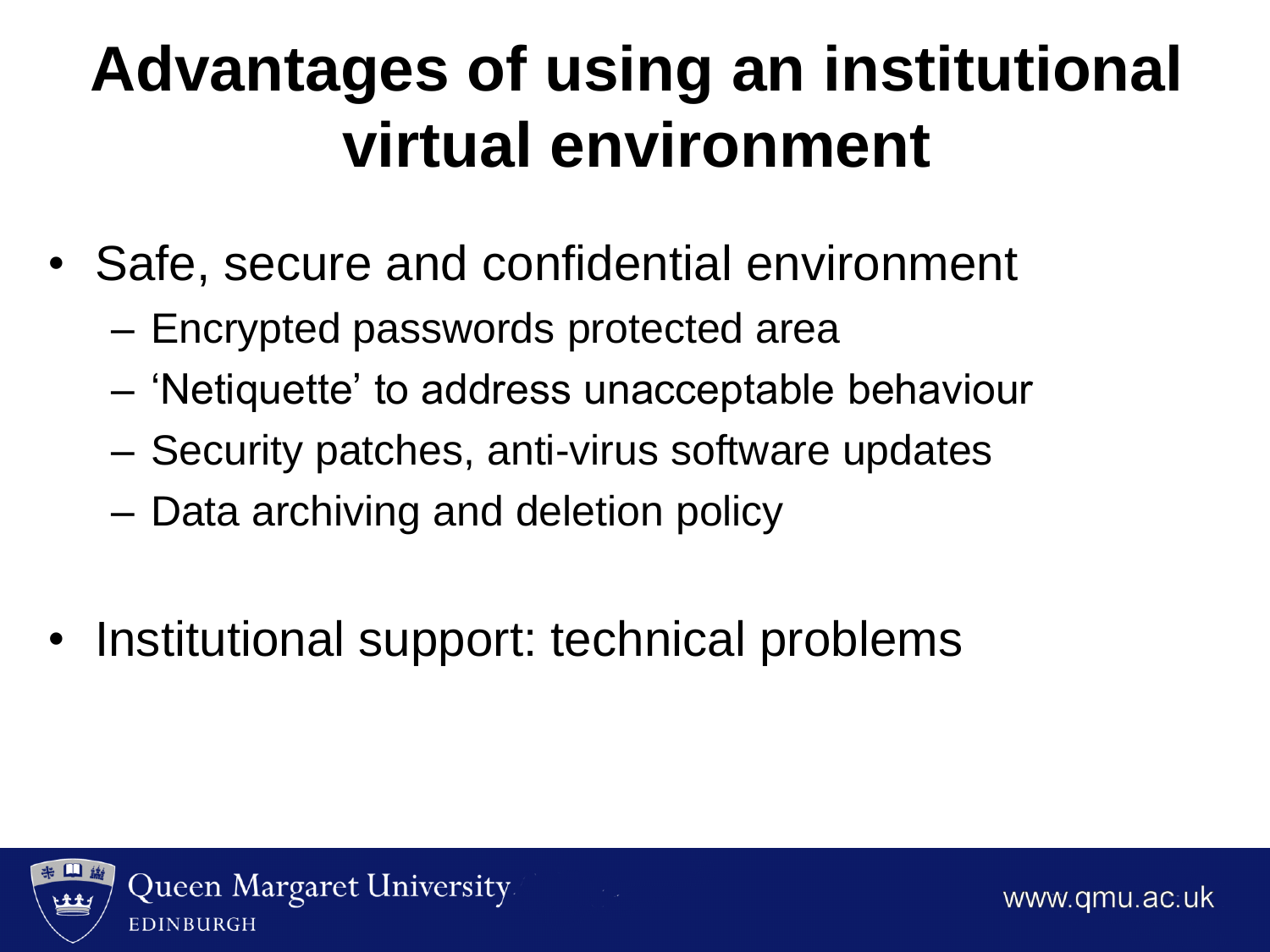# **Advantages of using an institutional virtual environment**

- Safe, secure and confidential environment
	- Encrypted passwords protected area
	- "Netiquette" to address unacceptable behaviour
	- Security patches, anti-virus software updates
	- Data archiving and deletion policy
- Institutional support: technical problems